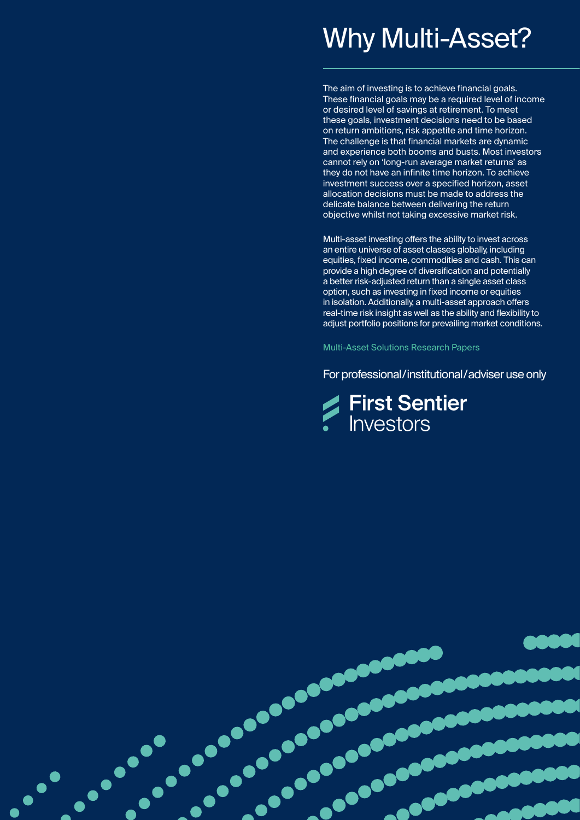# Why Multi-Asset?

The aim of investing is to achieve financial goals. These financial goals may be a required level of income or desired level of savings at retirement. To meet these goals, investment decisions need to be based on return ambitions, risk appetite and time horizon. The challenge is that financial markets are dynamic and experience both booms and busts. Most investors cannot rely on 'long-run average market returns' as they do not have an infinite time horizon. To achieve investment success over a specified horizon, asset allocation decisions must be made to address the delicate balance between delivering the return objective whilst not taking excessive market risk.

Multi-asset investing offers the ability to invest across an entire universe of asset classes globally, including equities, fixed income, commodities and cash. This can provide a high degree of diversification and potentially a better risk-adjusted return than a single asset class option, such as investing in fixed income or equities in isolation. Additionally, a multi-asset approach offers real-time risk insight as well as the ability and flexibility to adjust portfolio positions for prevailing market conditions.

Multi-Asset Solutions Research Papers

For professional/institutional/adviser use only



 $\cdot$ 

**POLICE**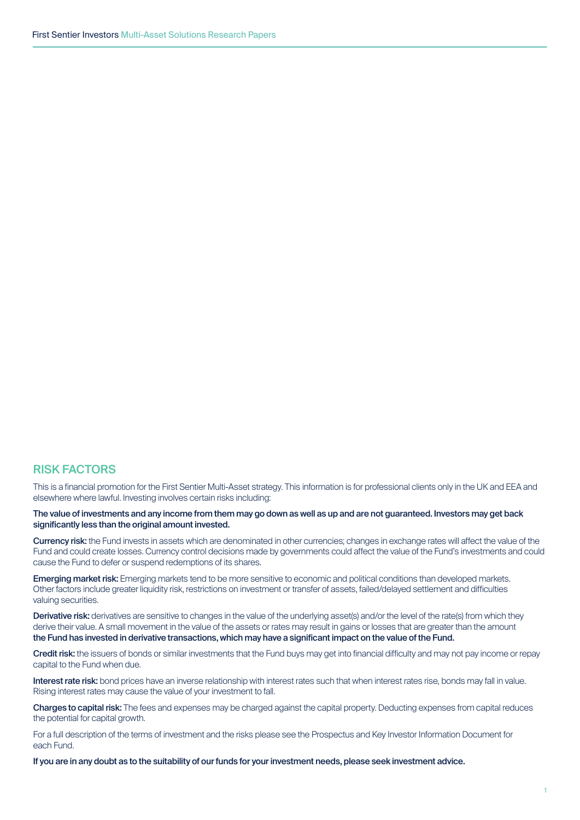# RISK FACTORS

This is a financial promotion for the First Sentier Multi-Asset strategy. This information is for professional clients only in the UK and EEA and elsewhere where lawful. Investing involves certain risks including:

The value of investments and any income from them may go down as well as up and are not guaranteed. Investors may get back significantly less than the original amount invested.

Currency risk: the Fund invests in assets which are denominated in other currencies; changes in exchange rates will affect the value of the Fund and could create losses. Currency control decisions made by governments could affect the value of the Fund's investments and could cause the Fund to defer or suspend redemptions of its shares.

Emerging market risk: Emerging markets tend to be more sensitive to economic and political conditions than developed markets. Other factors include greater liquidity risk, restrictions on investment or transfer of assets, failed/delayed settlement and difficulties valuing securities.

Derivative risk: derivatives are sensitive to changes in the value of the underlying asset(s) and/or the level of the rate(s) from which they derive their value. A small movement in the value of the assets or rates may result in gains or losses that are greater than the amount the Fund has invested in derivative transactions, which may have a significant impact on the value of the Fund.

Credit risk: the issuers of bonds or similar investments that the Fund buys may get into financial difficulty and may not pay income or repay capital to the Fund when due.

Interest rate risk: bond prices have an inverse relationship with interest rates such that when interest rates rise, bonds may fall in value. Rising interest rates may cause the value of your investment to fall.

Charges to capital risk: The fees and expenses may be charged against the capital property. Deducting expenses from capital reduces the potential for capital growth.

For a full description of the terms of investment and the risks please see the Prospectus and Key Investor Information Document for each Fund.

If you are in any doubt as to the suitability of our funds for your investment needs, please seek investment advice.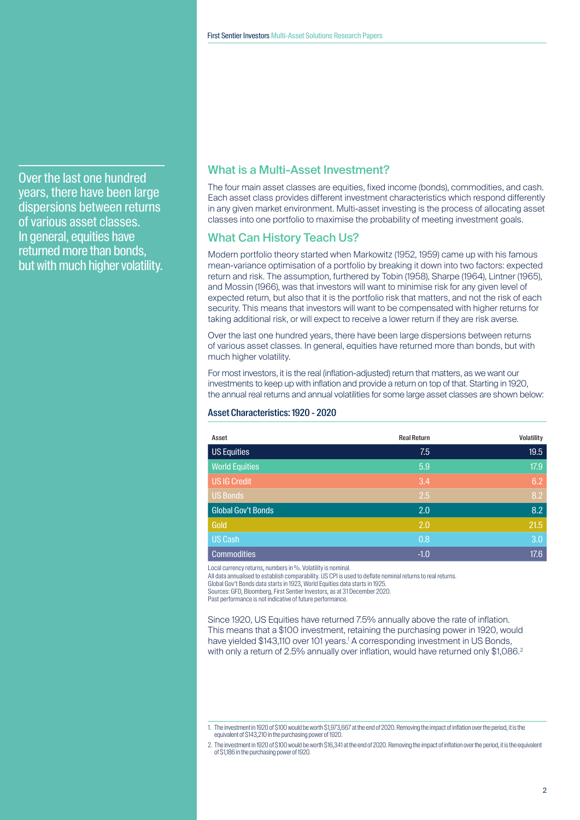Over the last one hundred years, there have been large dispersions between returns of various asset classes. In general, equities have returned more than bonds, but with much higher volatility.

# What is a Multi-Asset Investment?

The four main asset classes are equities, fixed income (bonds), commodities, and cash. Each asset class provides different investment characteristics which respond differently in any given market environment. Multi-asset investing is the process of allocating asset classes into one portfolio to maximise the probability of meeting investment goals.

# What Can History Teach Us?

Modern portfolio theory started when Markowitz (1952, 1959) came up with his famous mean-variance optimisation of a portfolio by breaking it down into two factors: expected return and risk. The assumption, furthered by Tobin (1958), Sharpe (1964), Lintner (1965), and Mossin (1966), was that investors will want to minimise risk for any given level of expected return, but also that it is the portfolio risk that matters, and not the risk of each security. This means that investors will want to be compensated with higher returns for taking additional risk, or will expect to receive a lower return if they are risk averse.

Over the last one hundred years, there have been large dispersions between returns of various asset classes. In general, equities have returned more than bonds, but with much higher volatility.

For most investors, it is the real (inflation-adjusted) return that matters, as we want our investments to keep up with inflation and provide a return on top of that. Starting in 1920, the annual real returns and annual volatilities for some large asset classes are shown below:

#### Asset Characteristics: 1920 - 2020

| Asset                     | <b>Real Return</b> | Volatility |
|---------------------------|--------------------|------------|
| <b>US Equities</b>        | 7.5                | 19.5       |
| <b>World Equities</b>     | 5.9                | 17.9       |
| <b>US IG Credit</b>       | 3.4                | 6.2        |
| <b>US Bonds</b>           | 2.5                | 8.2        |
| <b>Global Gov't Bonds</b> | 2.0                | 8.2        |
| Gold                      | 2.0                | 21.5       |
| <b>US Cash</b>            | 0.8                | 3.0        |
| <b>Commodities</b>        | $-1.0$             | 17.6       |

Local currency returns, numbers in %. Volatility is nominal.

All data annualised to establish comparability. US CPI is used to deflate nominal returns to real returns.

Global Gov't Bonds data starts in 1923, World Equities data starts in 1925.

Sources: GFD, Bloomberg, First Sentier Investors, as at 31 December 2020.

Past performance is not indicative of future performance.

Since 1920, US Equities have returned 7.5% annually above the rate of inflation. This means that a \$100 investment, retaining the purchasing power in 1920, would have yielded \$143,110 over 101 years.<sup>1</sup> A corresponding investment in US Bonds, with only a return of 2.5% annually over inflation, would have returned only \$1,086.<sup>2</sup>

<sup>1.</sup> The investment in 1920 of \$100 would be worth \$1,973,667 at the end of 2020. Removing the impact of inflation over the period, it is the equivalent of \$143,210 in the purchasing power of 1920

<sup>2.</sup> The investment in 1920 of \$100 would be worth \$16,341 at the end of 2020. Removing the impact of inflation over the period, it is the equivalent of \$1,186 in the purchasing power of 1920.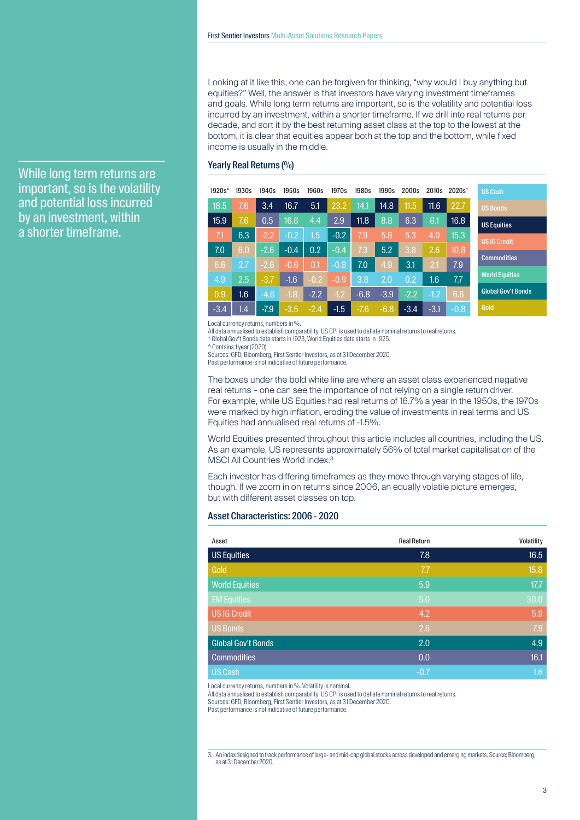Looking at it like this, one can be forgiven for thinking, "why would I buy anything but equities?" Well, the answer is that investors have varying investment timeframes and goals. While long term returns are important, so is the volatility and potential loss incurred by an investment, within a shorter timeframe. If we drill into real returns per decade, and sort it by the best returning asset class at the top to the lowest at the bottom, it is clear that equities appear both at the top and the bottom, while fixed income is usually in the middle.

#### Yearly Real Returns (%)

| $1920s*$ | 1930s | 1940s  | 1950s  | 1960s   | 1970s  | 1980s  | 1990s  | 2000s  | 2010 <sub>s</sub> | $2020s^{\hat{ }}$ | <b>US Cash</b>            |
|----------|-------|--------|--------|---------|--------|--------|--------|--------|-------------------|-------------------|---------------------------|
| 18.5     | 7.6   | 3.4    | 16.7   | 5.1     | 23.2   | 14.1   | 14.8   | 11.5   | 11.6              | 22.7              | <b>US Bonds</b>           |
| 15.9     | 7.6   | 0.5    | 16.6   | 4.4     | 2.9    | 11.8   | 8.8    | 6.3    | 8.1               | 16.8              | <b>US Equities</b>        |
| 7.1      | 6.3   | $-2.2$ | $-0.2$ | $1.5\,$ | $-0.2$ | 7.9    | 5.8    | 5.3    | 4.0               | 15.3              | <b>USIG Credit</b>        |
| 7.0      | 6.0   | $-2.6$ | $-0.4$ | 0.2     | $-0.4$ | 7.3    | 5.2    | 3.8    | 2.6               | 10.8              |                           |
| 6.6      | 2.7   | $-2.6$ | $-0.6$ | 0.1     | $-0.8$ | 7.0    | 4.9    | 3.1    | 2.1               | 7.9               | <b>Commodities</b>        |
| 4.9      | 2.5   | $-3.7$ | $-1.6$ | $-0.2$  | $-0.9$ | 3.8    | 2.0    | 0.2    | 1.6               | 7.7               | <b>World Equities</b>     |
| 0.9      | 1.6   | $-4.6$ | $-1.8$ | $-2.2$  | $-1.2$ | $-6.8$ | $-3.9$ | $-2.2$ | $-1.2$            | 6.6 <sub>1</sub>  | <b>Global Gov't Bonds</b> |
| $-3.4$   | 1.4   | $-7.9$ | $-3.5$ | $-2.4$  | $-1.5$ | $-7.6$ | $-6.8$ | $-3.4$ | $-3.1$            | $-0.8$            | Gold                      |

Local currency returns, numbers in %.

All data annualised to establish comparability. US CPI is used to deflate nominal returns to real returns. \* Global Gov't Bonds data starts in 1923, World Equities data starts in 1925.

^ Contains 1 year (2020).

Sources: GFD, Bloomberg, First Sentier Investors, as at 31 December 2020.

Past performance is not indicative of future performance.

The boxes under the bold white line are where an asset class experienced negative real returns – one can see the importance of not relying on a single return driver. For example, while US Equities had real returns of 16.7% a year in the 1950s, the 1970s were marked by high inflation, eroding the value of investments in real terms and US Equities had annualised real returns of -1.5%.

World Equities presented throughout this article includes all countries, including the US. As an example, US represents approximately 56% of total market capitalisation of the MSCI All Countries World Index.<sup>3</sup>

Each investor has differing timeframes as they move through varying stages of life, though. If we zoom in on returns since 2006, an equally volatile picture emerges, but with different asset classes on top.

#### Asset Characteristics: 2006 - 2020

| Asset                     | <b>Real Return</b> | Volatility |
|---------------------------|--------------------|------------|
| <b>US Equities</b>        | 7.8                | 16.5       |
| Gold                      | 7.7                | 15.8       |
| <b>World Equities</b>     | 5.9                | 17.7       |
| <b>EM Equities</b>        | 5.0                | 30.0       |
| <b>US IG Credit</b>       | 4.2                | 5.9        |
| <b>US Bonds</b>           | 2.6                | 7.9        |
| <b>Global Gov't Bonds</b> | 2.0                | 4.9        |
| <b>Commodities</b>        | 0.0                | 16.1       |
| <b>US Cash</b>            | $-0.7$             | 1.6        |

Local currency returns, numbers in %. Volatility is nominal.

All data annualised to establish comparability. US CPI is used to deflate nominal returns to real returns.

Sources: GFD, Bloomberg, First Sentier Investors, as at 31 December 2020.

Past performance is not indicative of future performance.

3. An index designed to track performance of large- and mid-cap global stocks across developed and emerging markets. Source: Bloomberg, as at 31 December 2020.

While long term returns are important, so is the volatility and potential loss incurred by an investment, within a shorter timeframe.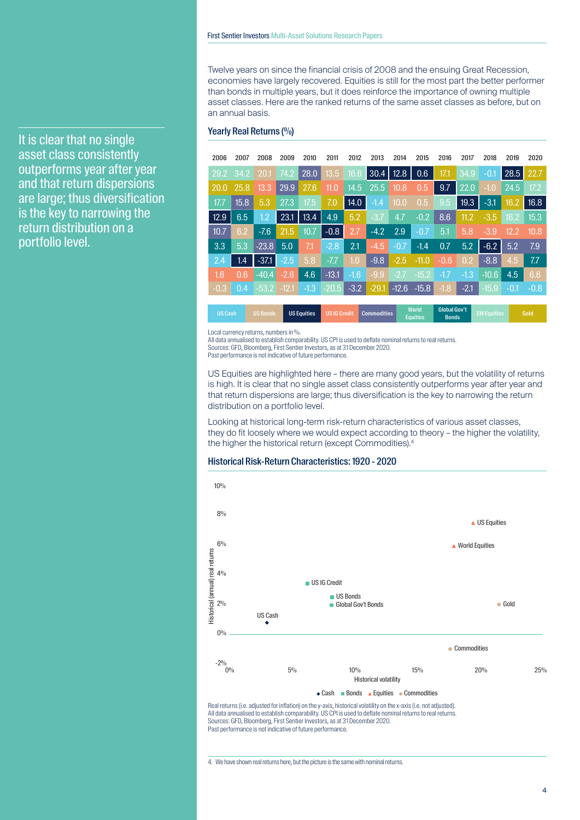It is clear that no single asset class consistently outperforms year after year and that return dispersions are large; thus diversification is the key to narrowing the return distribution on a portfolio level.

Twelve years on since the financial crisis of 2008 and the ensuing Great Recession, economies have largely recovered. Equities is still for the most part the better performer than bonds in multiple years, but it does reinforce the importance of owning multiple asset classes. Here are the ranked returns of the same asset classes as before, but on an annual basis.

#### Yearly Real Returns (%)

| 2006   | 2007              | 2008    | 2009    | 2010   | 2011    | 2012   | 2013        | 2014   | 2015            | 2016         | 2017              | 2018    | 2019   | 2020   |
|--------|-------------------|---------|---------|--------|---------|--------|-------------|--------|-----------------|--------------|-------------------|---------|--------|--------|
| 29.2   | 34.2              | 20.1    | 74.2    | 28.0   | 13.5    | 16.6   | $30.4$ 12.8 |        | 0.6             | 17.1         | 34.9              | $-0.1$  | 28.5   | 22.7   |
| 20.0   | 25.8              | 13.3    | 29.9    | 27.6   | 11.0    | 14.5   | 25.5        | 10.8   | 0.5             | 9.7          | 22.0              | $-1.0$  | 24.5   | 17.2   |
| 17.7   | $\overline{15.8}$ | 5.3     | 27.3    | 17.5   | 7.0     | 14.0   | $-1.4$      | 10.0   | 0.5             | 9.5          | $\overline{19.3}$ | $-3.1$  | 16.2   | 16.8   |
| 12.9   | 6.5               | 1.2     | 23.1    | 13.4   | 4.9     | 5.2    | $-3.7$      | 4.7    | $-0.2$          | 8.6          | 11.2              | $-3.5$  | 16.2   | 15.3   |
| 10.7   | 6.2               | $-7.6$  | 21.5    | 10.7   | $-0.8$  | 2.7    | $-4.2$      | 2.9    | $-0.7$          | 5.1          | 5.8               | $-3.9$  | 12.2   | 10.8   |
| 3.3    | 5.3               | $-23.8$ | 5.0     | 71     | $-2.8$  | 2.1    | $-4.5$      | $-0.7$ | $-1.4$          | 0.7          | 5.2               | $-6.2$  | 5.2    | 7.9    |
| 2.4    | 1.4               | $-37.1$ | $-2.5$  | 5.8    | $-7.7$  | 1.0    | $-9.8$      | $-2.5$ | $-11.0$         | $-0.6$       | 0.2               | $-8.8$  | 4.5    | 7.7    |
| 1.6    | 0.6               | $-40.4$ | $-2.6$  | 4.6    | $-13.1$ | $-1.6$ | $-9.9$      | $-2.7$ | $-15.2$         | $-1.7$       | $-1.3$            | $-10.6$ | 4.5    | 6.6    |
| $-0.3$ | 0.4               | $-53.2$ | $-12.1$ | $-1.3$ | $-20.5$ | $-3.2$ | $-29.1$     |        | $-12.6$ $-15.8$ | $-1.8$       | $-2.1$            | $-15.9$ | $-0.1$ | $-0.8$ |
|        |                   |         |         |        |         |        |             |        | <b>World</b>    | Global Gov't |                   |         |        |        |

US Cash US Bonds US Equities US IG Credit Commoditie **Equities** 

Local currency returns, numbers in %.

All data annualised to establish comparability. US CPI is used to deflate nominal returns to real returns. Sources: GFD, Bloomberg, First Sentier Investors, as at 31 December 2020.

Past performance is not indicative of future performance.

US Equities are highlighted here – there are many good years, but the volatility of returns is high. It is clear that no single asset class consistently outperforms year after year and that return dispersions are large; thus diversification is the key to narrowing the return distribution on a portfolio level.

Looking at historical long-term risk-return characteristics of various asset classes, they do fit loosely where we would expect according to theory – the higher the volatility, the higher the historical return (except Commodities).<sup>4</sup>

## Historical Risk-Return Characteristics: 1920 - 2020



All data annualised to establish comparability. US CPI is used to deflate nominal returns to real returns. Sources: GFD, Bloomberg, First Sentier Investors, as at 31 December 2020. Past performance is not indicative of future performance.

4. We have shown real returns here, but the picture is the same with nominal returns.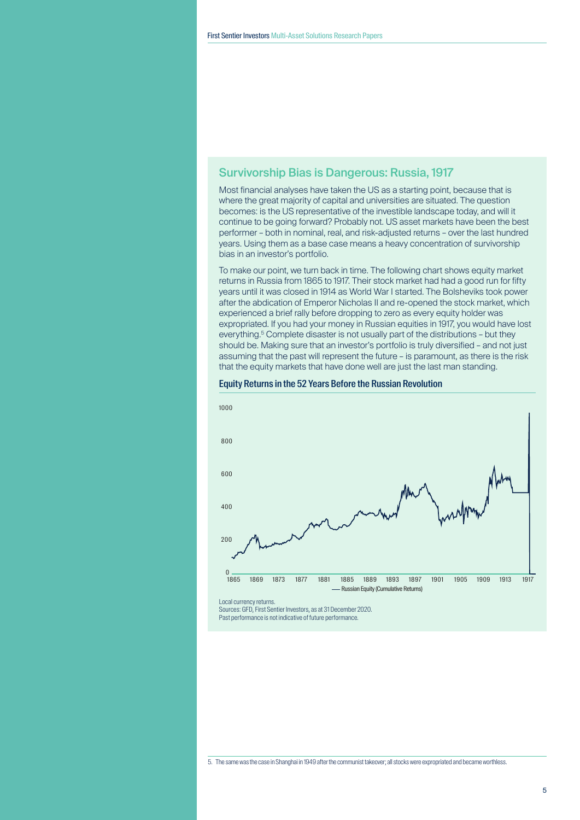# Survivorship Bias is Dangerous: Russia, 1917

Most financial analyses have taken the US as a starting point, because that is where the great majority of capital and universities are situated. The question becomes: is the US representative of the investible landscape today, and will it continue to be going forward? Probably not. US asset markets have been the best performer – both in nominal, real, and risk-adjusted returns – over the last hundred years. Using them as a base case means a heavy concentration of survivorship bias in an investor's portfolio.

To make our point, we turn back in time. The following chart shows equity market returns in Russia from 1865 to 1917. Their stock market had had a good run for fifty years until it was closed in 1914 as World War I started. The Bolsheviks took power after the abdication of Emperor Nicholas II and re-opened the stock market, which experienced a brief rally before dropping to zero as every equity holder was expropriated. If you had your money in Russian equities in 1917, you would have lost everything.<sup>5</sup> Complete disaster is not usually part of the distributions - but they should be. Making sure that an investor's portfolio is truly diversified – and not just assuming that the past will represent the future – is paramount, as there is the risk that the equity markets that have done well are just the last man standing.



#### Equity Returns in the 52 Years Before the Russian Revolution

Sources: GFD, First Sentier Investors, as at 31 December 2020. Past performance is not indicative of future performance.

<sup>5.</sup> The same was the case in Shanghai in 1949 after the communist takeover; all stocks were expropriated and became worthless.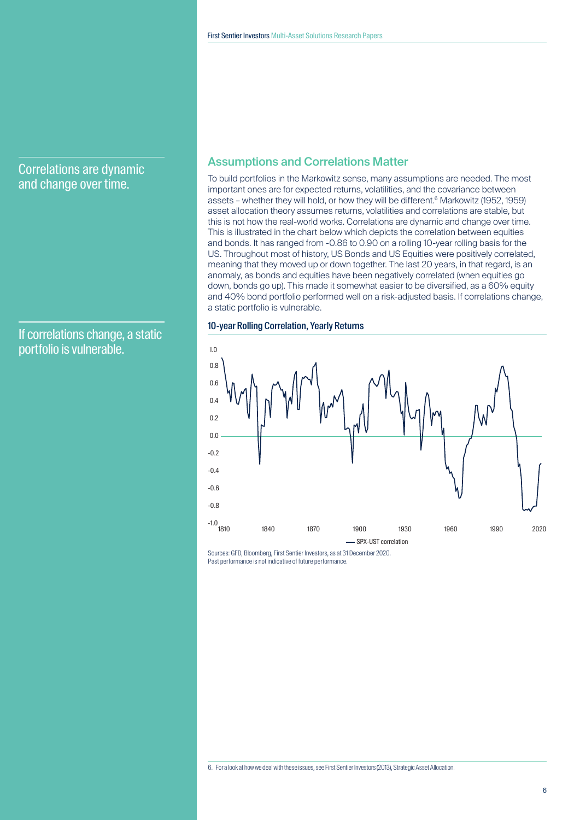# Correlations are dynamic and change over time.

If correlations change, a static portfolio is vulnerable.

# Assumptions and Correlations Matter

To build portfolios in the Markowitz sense, many assumptions are needed. The most important ones are for expected returns, volatilities, and the covariance between assets – whether they will hold, or how they will be different.<sup>6</sup> Markowitz (1952, 1959) asset allocation theory assumes returns, volatilities and correlations are stable, but this is not how the real-world works. Correlations are dynamic and change over time. This is illustrated in the chart below which depicts the correlation between equities and bonds. It has ranged from -0.86 to 0.90 on a rolling 10-year rolling basis for the US. Throughout most of history, US Bonds and US Equities were positively correlated, meaning that they moved up or down together. The last 20 years, in that regard, is an anomaly, as bonds and equities have been negatively correlated (when equities go down, bonds go up). This made it somewhat easier to be diversified, as a 60% equity and 40% bond portfolio performed well on a risk-adjusted basis. If correlations change, a static portfolio is vulnerable.

#### 10-year Rolling Correlation, Yearly Returns



Sources: GFD, Bloomberg, First Sentier Investors, as at 31 December 2020. Past performance is not indicative of future performance.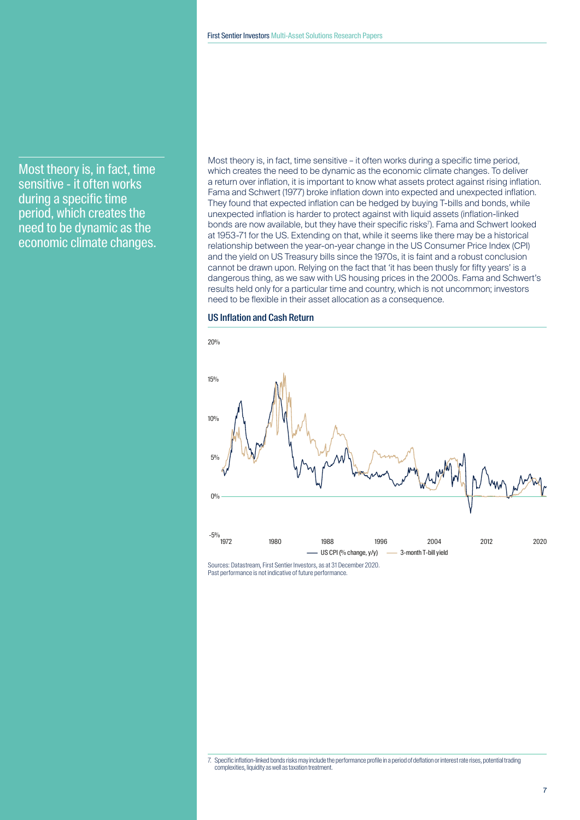Most theory is, in fact, time sensitive - it often works during a specific time period, which creates the need to be dynamic as the economic climate changes.

Most theory is, in fact, time sensitive – it often works during a specific time period, which creates the need to be dynamic as the economic climate changes. To deliver a return over inflation, it is important to know what assets protect against rising inflation. Fama and Schwert (1977) broke inflation down into expected and unexpected inflation. They found that expected inflation can be hedged by buying T-bills and bonds, while unexpected inflation is harder to protect against with liquid assets (inflation-linked bonds are now available, but they have their specific risks'). Fama and Schwert looked at 1953-71 for the US. Extending on that, while it seems like there may be a historical relationship between the year-on-year change in the US Consumer Price Index (CPI) and the yield on US Treasury bills since the 1970s, it is faint and a robust conclusion cannot be drawn upon. Relying on the fact that 'it has been thusly for fifty years' is a dangerous thing, as we saw with US housing prices in the 2000s. Fama and Schwert's results held only for a particular time and country, which is not uncommon; investors need to be flexible in their asset allocation as a consequence.

## US Inflation and Cash Return



Past performance is not indicative of future performance.

<sup>7.</sup> Specific inflation-linked bonds risks may include the performance profile in a period of deflation or interest rate rises, potential trading complexities, liquidity as well as taxation treatment.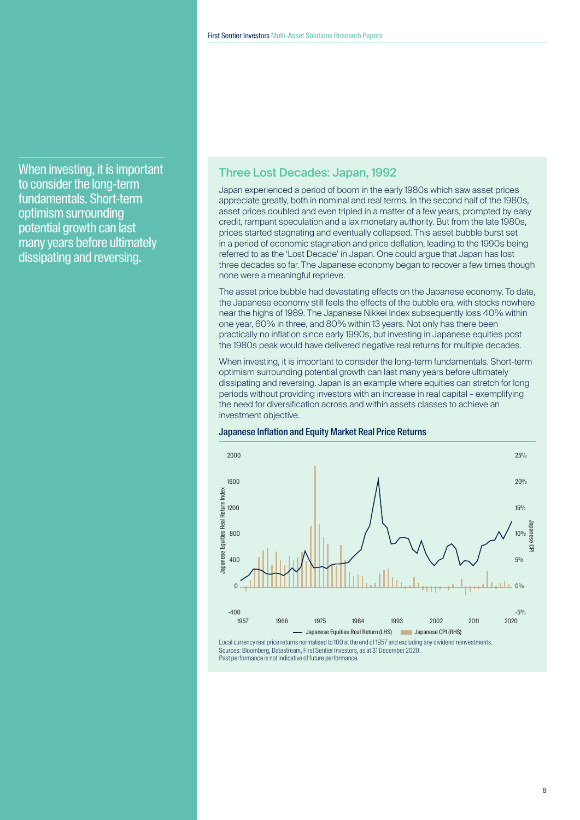When investing, it is important to consider the long-term fundamentals. Short-term optimism surrounding potential growth can last many years before ultimately dissipating and reversing.

# Three Lost Decades: Japan, 1992

Japan experienced a period of boom in the early 1980s which saw asset prices appreciate greatly, both in nominal and real terms. In the second half of the 1980s, asset prices doubled and even tripled in a matter of a few years, prompted by easy credit, rampant speculation and a lax monetary authority. But from the late 1980s, prices started stagnating and eventually collapsed. This asset bubble burst set in a period of economic stagnation and price deflation, leading to the 1990s being referred to as the 'Lost Decade' in Japan. One could argue that Japan has lost three decades so far. The Japanese economy began to recover a few times though none were a meaningful reprieve.

The asset price bubble had devastating effects on the Japanese economy. To date, the Japanese economy still feels the effects of the bubble era, with stocks nowhere near the highs of 1989. The Japanese Nikkei Index subsequently loss 40% within one year, 60% in three, and 80% within 13 years. Not only has there been practically no inflation since early 1990s, but investing in Japanese equities post the 1980s peak would have delivered negative real returns for multiple decades.

When investing, it is important to consider the long-term fundamentals. Short-term optimism surrounding potential growth can last many years before ultimately dissipating and reversing. Japan is an example where equities can stretch for long periods without providing investors with an increase in real capital – exemplifying the need for diversification across and within assets classes to achieve an investment objective.

#### Japanese Inflation and Equity Market Real Price Returns



Past performance is not indicative of future performance.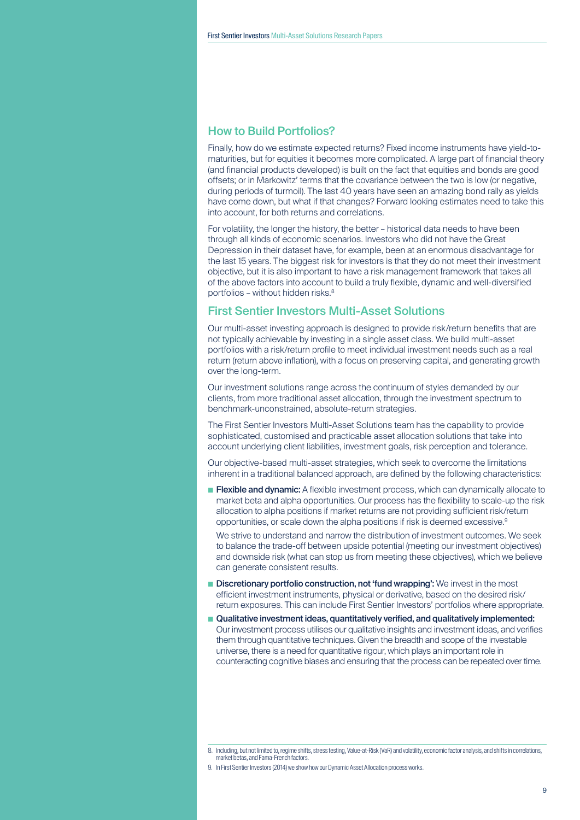# How to Build Portfolios?

Finally, how do we estimate expected returns? Fixed income instruments have yield-tomaturities, but for equities it becomes more complicated. A large part of financial theory (and financial products developed) is built on the fact that equities and bonds are good offsets; or in Markowitz' terms that the covariance between the two is low (or negative, during periods of turmoil). The last 40 years have seen an amazing bond rally as yields have come down, but what if that changes? Forward looking estimates need to take this into account, for both returns and correlations.

For volatility, the longer the history, the better – historical data needs to have been through all kinds of economic scenarios. Investors who did not have the Great Depression in their dataset have, for example, been at an enormous disadvantage for the last 15 years. The biggest risk for investors is that they do not meet their investment objective, but it is also important to have a risk management framework that takes all of the above factors into account to build a truly flexible, dynamic and well-diversified portfolios – without hidden risks.<sup>8</sup>

# First Sentier Investors Multi-Asset Solutions

Our multi-asset investing approach is designed to provide risk/return benefits that are not typically achievable by investing in a single asset class. We build multi-asset portfolios with a risk/return profile to meet individual investment needs such as a real return (return above inflation), with a focus on preserving capital, and generating growth over the long-term.

Our investment solutions range across the continuum of styles demanded by our clients, from more traditional asset allocation, through the investment spectrum to benchmark-unconstrained, absolute-return strategies.

The First Sentier Investors Multi-Asset Solutions team has the capability to provide sophisticated, customised and practicable asset allocation solutions that take into account underlying client liabilities, investment goals, risk perception and tolerance.

Our objective-based multi-asset strategies, which seek to overcome the limitations inherent in a traditional balanced approach, are defined by the following characteristics:

**Elexible and dynamic:** A flexible investment process, which can dynamically allocate to market beta and alpha opportunities. Our process has the flexibility to scale-up the risk allocation to alpha positions if market returns are not providing sufficient risk/return opportunities, or scale down the alpha positions if risk is deemed excessive.9

We strive to understand and narrow the distribution of investment outcomes. We seek to balance the trade-off between upside potential (meeting our investment objectives) and downside risk (what can stop us from meeting these objectives), which we believe can generate consistent results.

- Discretionary portfolio construction, not 'fund wrapping': We invest in the most efficient investment instruments, physical or derivative, based on the desired risk/ return exposures. This can include First Sentier Investors' portfolios where appropriate.
- Qualitative investment ideas, quantitatively verified, and qualitatively implemented: Our investment process utilises our qualitative insights and investment ideas, and verifies them through quantitative techniques. Given the breadth and scope of the investable universe, there is a need for quantitative rigour, which plays an important role in counteracting cognitive biases and ensuring that the process can be repeated over time.

<sup>8.</sup> Including, but not limited to, regime shifts, stress testing, Value-at-Risk (VaR) and volatility, economic factor analysis, and shifts in correlations, market betas, and Fama-French factors.

<sup>9.</sup> In First Sentier Investors (2014) we show how our Dynamic Asset Allocation process works.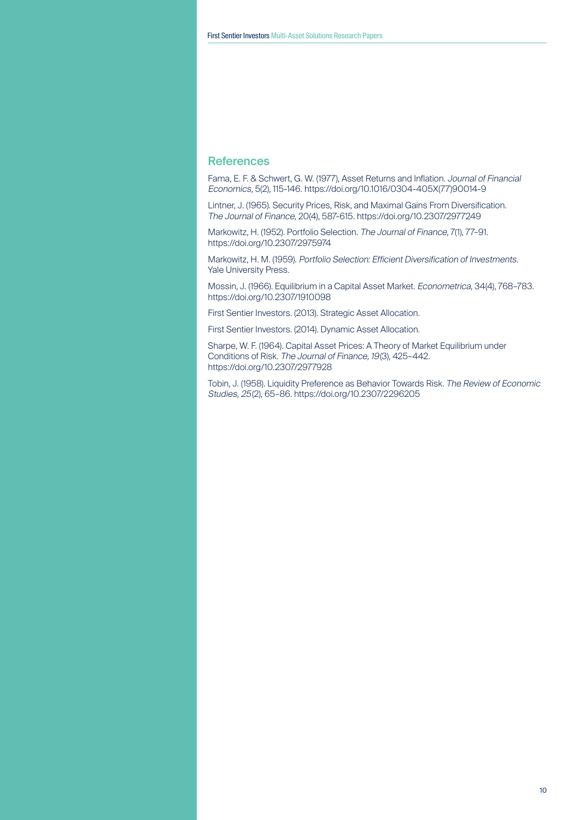# **References**

Fama, E. F. & Schwert, G. W. (1977), Asset Returns and Inflation. Journal of Financial Economics, 5(2), 115-146. https://doi.org/10.1016/0304-405X(77)90014-9

Lintner, J. (1965). Security Prices, Risk, and Maximal Gains From Diversification. The Journal of Finance, 20(4), 587-615. https://doi.org/10.2307/2977249

Markowitz, H. (1952). Portfolio Selection. The Journal of Finance, 7(1), 77–91. https://doi.org/10.2307/2975974

Markowitz, H. M. (1959). Portfolio Selection: Efficient Diversification of Investments. Yale University Press.

Mossin, J. (1966). Equilibrium in a Capital Asset Market. Econometrica, 34(4), 768–783. https://doi.org/10.2307/1910098

First Sentier Investors. (2013). Strategic Asset Allocation.

First Sentier Investors. (2014). Dynamic Asset Allocation.

Sharpe, W. F. (1964). Capital Asset Prices: A Theory of Market Equilibrium under Conditions of Risk. The Journal of Finance, 19(3), 425–442. https://doi.org/10.2307/2977928

Tobin, J. (1958). Liquidity Preference as Behavior Towards Risk. The Review of Economic Studies, 25(2), 65–86. https://doi.org/10.2307/2296205